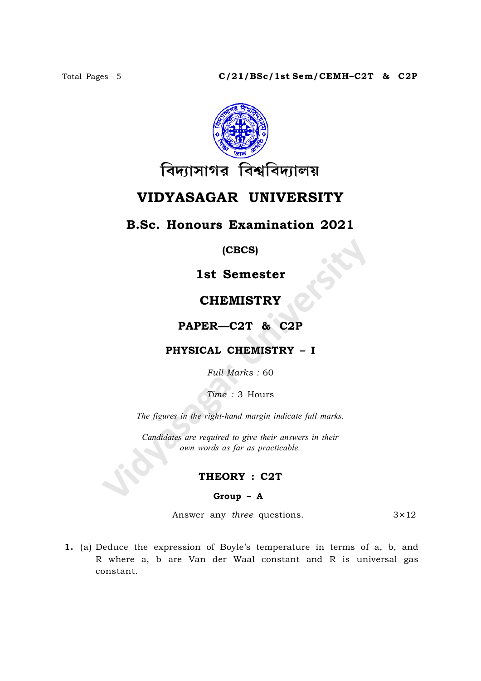

# VIDYASAGAR UNIVERSITY

## B.Sc. Honours Examination 2021

(CBCS)

1st Semester

## **CHEMISTRY**

### PAPER—C2T & C2P

### PHYSICAL CHEMISTRY – I

Full Marks : 60

Time : 3 Hours

The figures in the right-hand margin indicate full marks.

Candidates are required to give their answers in their own words as far as practicable.

### THEORY : C2T

#### Group – A

Answer any *three* questions.  $3 \times 12$ 

1. (a) Deduce the expression of Boyle's temperature in terms of a, b, and R where a, b are Van der Waal constant and R is universal gas constant.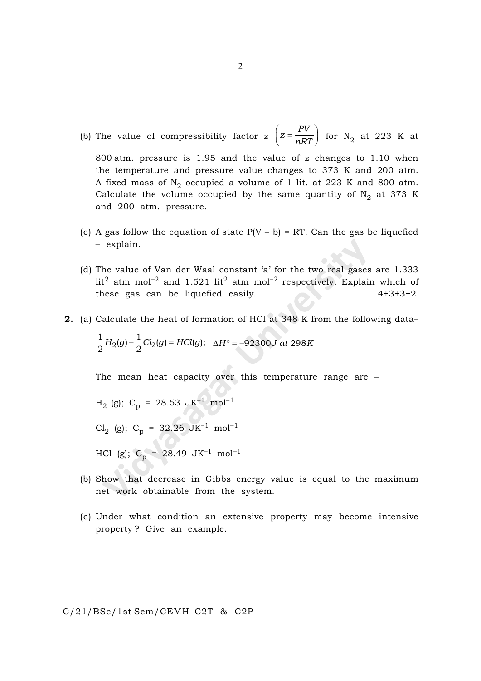(b) The value of compressibility factor z  $z = \frac{PV}{R}$ nRT  $\left(z = \frac{PV}{nRT}\right)$  for N<sub>2</sub> at 223 K at

800 atm. pressure is 1.95 and the value of z changes to 1.10 when the temperature and pressure value changes to 373 K and 200 atm. A fixed mass of  $\text{N}_2$  occupied a volume of 1 lit. at 223 K and 800 atm. Calculate the volume occupied by the same quantity of  $\mathrm{N}_2$  at 373 K and 200 atm. pressure.

- (c) A gas follow the equation of state  $P(V b) = RT$ . Can the gas be liquefied – explain.
- (d) The value of Van der Waal constant 'a' for the two real gases are 1.333 lit<sup>2</sup> atm mol<sup>-2</sup> and 1.521 lit<sup>2</sup> atm mol<sup>-2</sup> respectively. Explain which of these gas can be liquefied easily. 4+3+3+2
- 2. (a) Calculate the heat of formation of HCl at 348 K from the following data–

$$
\frac{1}{2}H_2(g) + \frac{1}{2}Cl_2(g) = HCl(g); \quad \Delta H^\circ = -92300J \text{ at } 298K
$$

The mean heat capacity over this temperature range are –

H2 (g); C<sup>p</sup> = 28.53 JK–1 mol–1

Cl<sub>2</sub> (g); C<sub>p</sub> = 32.26 JK<sup>-1</sup> mol<sup>-1</sup>

HCl (g);  $C_p = 28.49 \text{ JK}^{-1} \text{ mol}^{-1}$ 

- (b) Show that decrease in Gibbs energy value is equal to the maximum net work obtainable from the system.
- (c) Under what condition an extensive property may become intensive property ? Give an example.

2

C/21/BSc/1st Sem/CEMH–C2T & C2P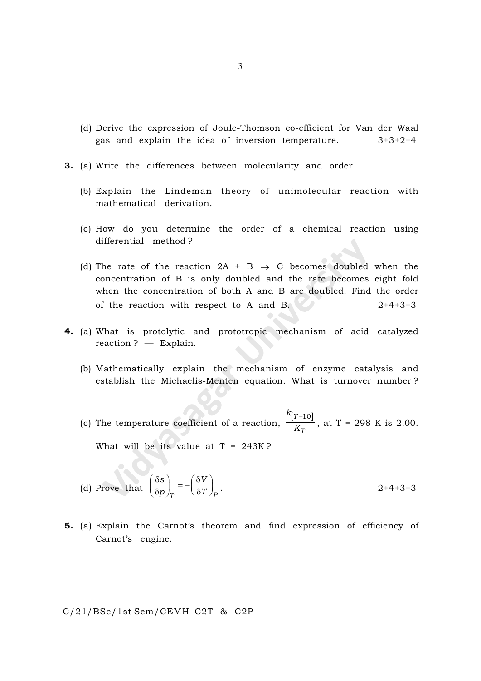- (d) Derive the expression of Joule-Thomson co-efficient for Van der Waal gas and explain the idea of inversion temperature. 3+3+2+4
- 3. (a) Write the differences between molecularity and order.
	- (b) Explain the Lindeman theory of unimolecular reaction with mathematical derivation.
	- (c) How do you determine the order of a chemical reaction using differential method ?
	- (d) The rate of the reaction  $2A + B \rightarrow C$  becomes doubled when the concentration of B is only doubled and the rate becomes eight fold when the concentration of both A and B are doubled. Find the order of the reaction with respect to A and B.  $2+4+3+3$
- 4. (a) What is protolytic and prototropic mechanism of acid catalyzed reaction ? –– Explain.
	- (b) Mathematically explain the mechanism of enzyme catalysis and establish the Michaelis-Menten equation. What is turnover number ?
	- (c) The temperature coefficient of a reaction,  $[T+10]$ T k K  $\frac{+10}{2}$ , at T = 298 K is 2.00.

What will be its value at  $T = 243K$ ?

 $\bullet$ 

(d) Prove that 
$$
\left(\frac{\delta s}{\delta p}\right)_T = -\left(\frac{\delta V}{\delta T}\right)_P
$$
. 2+4+3+3

5. (a) Explain the Carnot's theorem and find expression of efficiency of Carnot's engine.

C/21/BSc/1st Sem/CEMH–C2T & C2P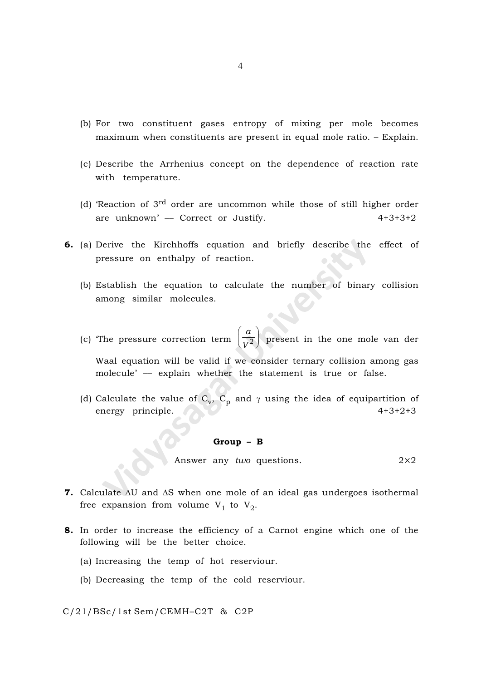- (b) For two constituent gases entropy of mixing per mole becomes maximum when constituents are present in equal mole ratio. – Explain.
- (c) Describe the Arrhenius concept on the dependence of reaction rate with temperature.
- (d) 'Reaction of 3rd order are uncommon while those of still higher order are unknown' — Correct or Justify. 4+3+3+2
- 6. (a) Derive the Kirchhoffs equation and briefly describe the effect of pressure on enthalpy of reaction.
	- (b) Establish the equation to calculate the number of binary collision among similar molecules.
	- (c) 'The pressure correction term a  $V^2$  $\left(\frac{a}{V^2}\right)$  present in the one mole van der Waal equation will be valid if we consider ternary collision among gas molecule' –– explain whether the statement is true or false.
	- (d) Calculate the value of  $C_v$ ,  $C_p$  and  $\gamma$  using the idea of equipartition of energy principle.  $\sqrt{4+3+2+3}$

#### Group – B

Answer any *two* questions.  $2\times 2$ 

- 7. Calculate  $\Delta U$  and  $\Delta S$  when one mole of an ideal gas undergoes isothermal free expansion from volume  $V_1$  to  $V_2$ .
- 8. In order to increase the efficiency of a Carnot engine which one of the following will be the better choice.
	- (a) Increasing the temp of hot reserviour.
	- (b) Decreasing the temp of the cold reserviour.

#### C/21/BSc/1st Sem/CEMH–C2T & C2P